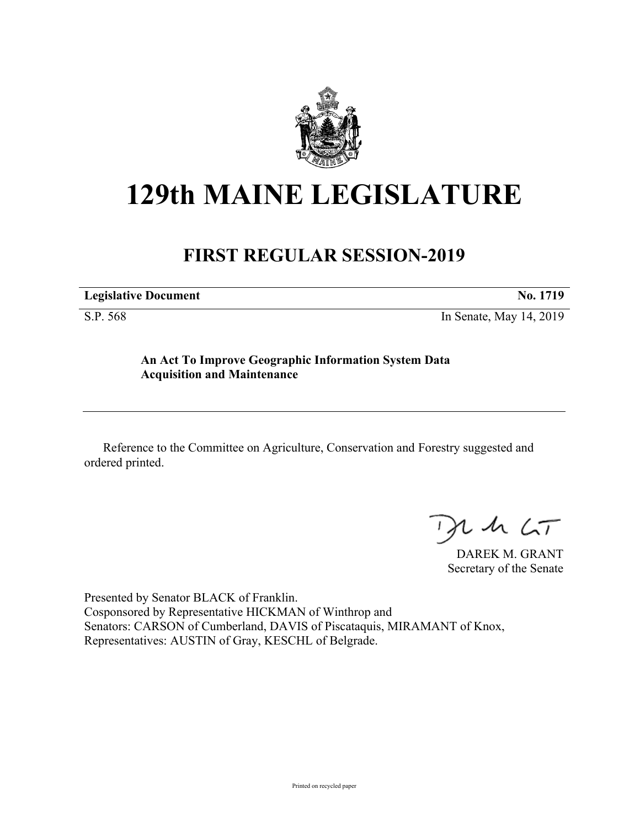

# **129th MAINE LEGISLATURE**

## **FIRST REGULAR SESSION-2019**

**Legislative Document No. 1719**

S.P. 568 In Senate, May 14, 2019

**An Act To Improve Geographic Information System Data Acquisition and Maintenance**

Reference to the Committee on Agriculture, Conservation and Forestry suggested and ordered printed.

 $125$ 

DAREK M. GRANT Secretary of the Senate

Presented by Senator BLACK of Franklin. Cosponsored by Representative HICKMAN of Winthrop and Senators: CARSON of Cumberland, DAVIS of Piscataquis, MIRAMANT of Knox, Representatives: AUSTIN of Gray, KESCHL of Belgrade.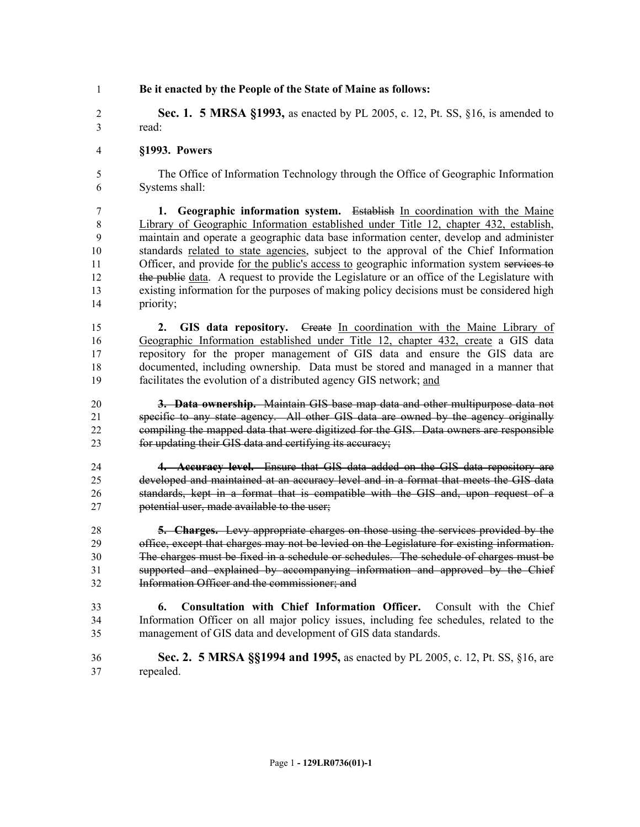**Be it enacted by the People of the State of Maine as follows:**

 **Sec. 1. 5 MRSA §1993,** as enacted by PL 2005, c. 12, Pt. SS, §16, is amended to read:

#### **§1993. Powers**

 The Office of Information Technology through the Office of Geographic Information Systems shall:

 **1. Geographic information system.** Establish In coordination with the Maine Library of Geographic Information established under Title 12, chapter 432, establish, maintain and operate a geographic data base information center, develop and administer standards related to state agencies, subject to the approval of the Chief Information 11 Officer, and provide for the public's access to geographic information system services to 12 the public data. A request to provide the Legislature or an office of the Legislature with existing information for the purposes of making policy decisions must be considered high priority;

 **2. GIS data repository.** Create In coordination with the Maine Library of Geographic Information established under Title 12, chapter 432, create a GIS data repository for the proper management of GIS data and ensure the GIS data are documented, including ownership. Data must be stored and managed in a manner that facilitates the evolution of a distributed agency GIS network; and

 **3. Data ownership.** Maintain GIS base map data and other multipurpose data not specific to any state agency. All other GIS data are owned by the agency originally compiling the mapped data that were digitized for the GIS. Data owners are responsible for updating their GIS data and certifying its accuracy;

 **4. Accuracy level.** Ensure that GIS data added on the GIS data repository are developed and maintained at an accuracy level and in a format that meets the GIS data standards, kept in a format that is compatible with the GIS and, upon request of a potential user, made available to the user;

 **5. Charges.** Levy appropriate charges on those using the services provided by the office, except that charges may not be levied on the Legislature for existing information. The charges must be fixed in a schedule or schedules. The schedule of charges must be supported and explained by accompanying information and approved by the Chief Information Officer and the commissioner; and

- **6. Consultation with Chief Information Officer.** Consult with the Chief Information Officer on all major policy issues, including fee schedules, related to the management of GIS data and development of GIS data standards.
- **Sec. 2. 5 MRSA §§1994 and 1995,** as enacted by PL 2005, c. 12, Pt. SS, §16, are repealed.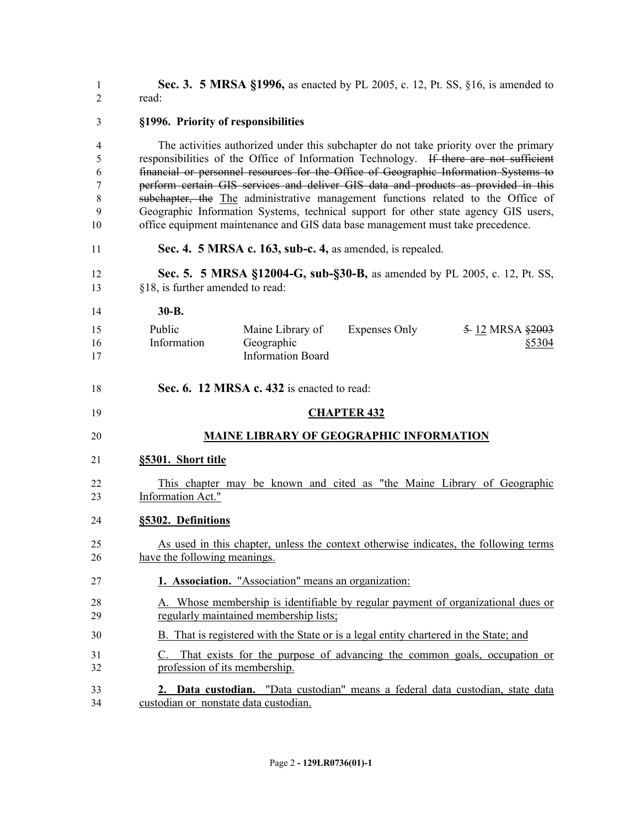**Sec. 3. 5 MRSA §1996,** as enacted by PL 2005, c. 12, Pt. SS, §16, is amended to read:

### **§1996. Priority of responsibilities** The activities authorized under this subchapter do not take priority over the primary responsibilities of the Office of Information Technology. If there are not sufficient financial or personnel resources for the Office of Geographic Information Systems to perform certain GIS services and deliver GIS data and products as provided in this subchapter, the The administrative management functions related to the Office of Geographic Information Systems, technical support for other state agency GIS users, office equipment maintenance and GIS data base management must take precedence. **Sec. 4. 5 MRSA c. 163, sub-c. 4,** as amended, is repealed. **Sec. 5. 5 MRSA §12004-G, sub-§30-B,** as amended by PL 2005, c. 12, Pt. SS, §18, is further amended to read: **30-B. Sec. 6. 12 MRSA c. 432** is enacted to read: **CHAPTER 432 MAINE LIBRARY OF GEOGRAPHIC INFORMATION §5301. Short title** This chapter may be known and cited as "the Maine Library of Geographic Information Act." **§5302. Definitions** As used in this chapter, unless the context otherwise indicates, the following terms have the following meanings. **1. Association.** "Association" means an organization: A. Whose membership is identifiable by regular payment of organizational dues or regularly maintained membership lists; B. That is registered with the State or is a legal entity chartered in the State; and C. That exists for the purpose of advancing the common goals, occupation or profession of its membership. **2. Data custodian.** "Data custodian" means a federal data custodian, state data Public Information Maine Library of Geographic Information Board Expenses Only  $\frac{5}{2}$  12 MRSA  $\frac{2003}{2}$ §5304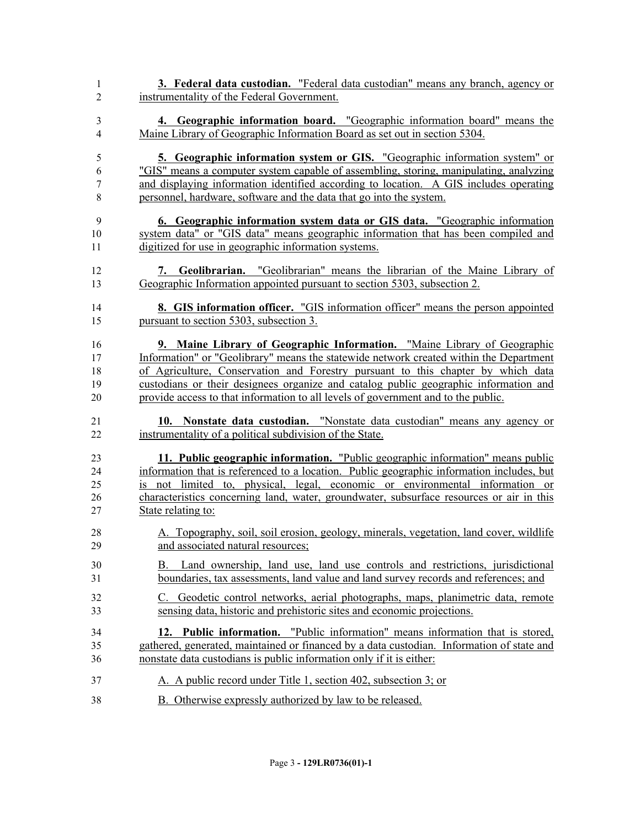| 3. Federal data custodian. "Federal data custodian" means any branch, agency or<br>1            |  |
|-------------------------------------------------------------------------------------------------|--|
| instrumentality of the Federal Government.<br>$\overline{2}$                                    |  |
| 4. Geographic information board. "Geographic information board" means the<br>3                  |  |
| Maine Library of Geographic Information Board as set out in section 5304.<br>4                  |  |
| <b>5. Geographic information system or GIS.</b> "Geographic information system" or<br>5         |  |
| "GIS" means a computer system capable of assembling, storing, manipulating, analyzing<br>6      |  |
| and displaying information identified according to location. A GIS includes operating<br>7      |  |
| personnel, hardware, software and the data that go into the system.<br>8                        |  |
| 6. Geographic information system data or GIS data. "Geographic information<br>9                 |  |
| system data" or "GIS data" means geographic information that has been compiled and<br>10        |  |
| digitized for use in geographic information systems.<br>11                                      |  |
| 7. Geolibrarian. "Geolibrarian" means the librarian of the Maine Library of<br>12               |  |
| Geographic Information appointed pursuant to section 5303, subsection 2.<br>13                  |  |
| <b>8. GIS information officer.</b> "GIS information officer" means the person appointed<br>14   |  |
| pursuant to section 5303, subsection 3.<br>15                                                   |  |
| 9. Maine Library of Geographic Information. "Maine Library of Geographic<br>16                  |  |
| Information" or "Geolibrary" means the statewide network created within the Department<br>17    |  |
| of Agriculture, Conservation and Forestry pursuant to this chapter by which data<br>18          |  |
| custodians or their designees organize and catalog public geographic information and<br>19      |  |
| provide access to that information to all levels of government and to the public.<br>20         |  |
| 10. Nonstate data custodian. "Nonstate data custodian" means any agency or<br>21                |  |
| instrumentality of a political subdivision of the State.<br>22                                  |  |
| 11. Public geographic information. "Public geographic information" means public<br>23           |  |
| information that is referenced to a location. Public geographic information includes, but<br>24 |  |
| is not limited to, physical, legal, economic or environmental information or<br>25              |  |
| characteristics concerning land, water, groundwater, subsurface resources or air in this<br>26  |  |
| State relating to:<br>27                                                                        |  |
| A. Topography, soil, soil erosion, geology, minerals, vegetation, land cover, wildlife<br>28    |  |
| and associated natural resources;<br>29                                                         |  |
| Land ownership, land use, land use controls and restrictions, jurisdictional<br>30<br>В.        |  |
| boundaries, tax assessments, land value and land survey records and references; and<br>31       |  |
| C. Geodetic control networks, aerial photographs, maps, planimetric data, remote<br>32          |  |
| sensing data, historic and prehistoric sites and economic projections.<br>33                    |  |
| 12. Public information. "Public information" means information that is stored,<br>34            |  |
| gathered, generated, maintained or financed by a data custodian. Information of state and<br>35 |  |
| nonstate data custodians is public information only if it is either:<br>36                      |  |
| A. A public record under Title 1, section 402, subsection 3; or<br>37                           |  |
| 38<br><b>B.</b> Otherwise expressly authorized by law to be released.                           |  |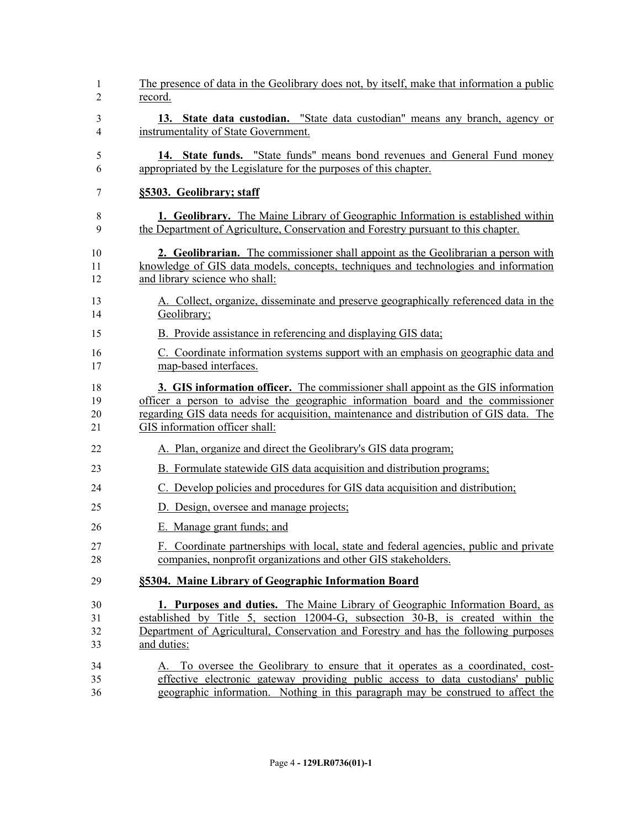| 1  | The presence of data in the Geolibrary does not, by itself, make that information a public |
|----|--------------------------------------------------------------------------------------------|
| 2  | record.                                                                                    |
| 3  | 13. State data custodian. "State data custodian" means any branch, agency or               |
| 4  | instrumentality of State Government.                                                       |
| 5  | 14. State funds. "State funds" means bond revenues and General Fund money                  |
| 6  | appropriated by the Legislature for the purposes of this chapter.                          |
| 7  | §5303. Geolibrary; staff                                                                   |
| 8  | <b>1. Geolibrary.</b> The Maine Library of Geographic Information is established within    |
| 9  | the Department of Agriculture, Conservation and Forestry pursuant to this chapter.         |
| 10 | <b>2. Geolibrarian.</b> The commissioner shall appoint as the Geolibrarian a person with   |
| 11 | knowledge of GIS data models, concepts, techniques and technologies and information        |
| 12 | and library science who shall:                                                             |
| 13 | A. Collect, organize, disseminate and preserve geographically referenced data in the       |
| 14 | Geolibrary;                                                                                |
| 15 | B. Provide assistance in referencing and displaying GIS data;                              |
| 16 | C. Coordinate information systems support with an emphasis on geographic data and          |
| 17 | map-based interfaces.                                                                      |
| 18 | 3. GIS information officer. The commissioner shall appoint as the GIS information          |
| 19 | officer a person to advise the geographic information board and the commissioner           |
| 20 | regarding GIS data needs for acquisition, maintenance and distribution of GIS data. The    |
| 21 | GIS information officer shall:                                                             |
| 22 | A. Plan, organize and direct the Geolibrary's GIS data program;                            |
| 23 | B. Formulate statewide GIS data acquisition and distribution programs;                     |
| 24 | C. Develop policies and procedures for GIS data acquisition and distribution;              |
| 25 | D. Design, oversee and manage projects;                                                    |
| 26 | E. Manage grant funds; and                                                                 |
| 27 | F. Coordinate partnerships with local, state and federal agencies, public and private      |
| 28 | companies, nonprofit organizations and other GIS stakeholders.                             |
| 29 | §5304. Maine Library of Geographic Information Board                                       |
| 30 | 1. Purposes and duties. The Maine Library of Geographic Information Board, as              |
| 31 | established by Title 5, section 12004-G, subsection 30-B, is created within the            |
| 32 | Department of Agricultural, Conservation and Forestry and has the following purposes       |
| 33 | and duties:                                                                                |
| 34 | A. To oversee the Geolibrary to ensure that it operates as a coordinated, cost-            |
| 35 | effective electronic gateway providing public access to data custodians' public            |
| 36 | geographic information. Nothing in this paragraph may be construed to affect the           |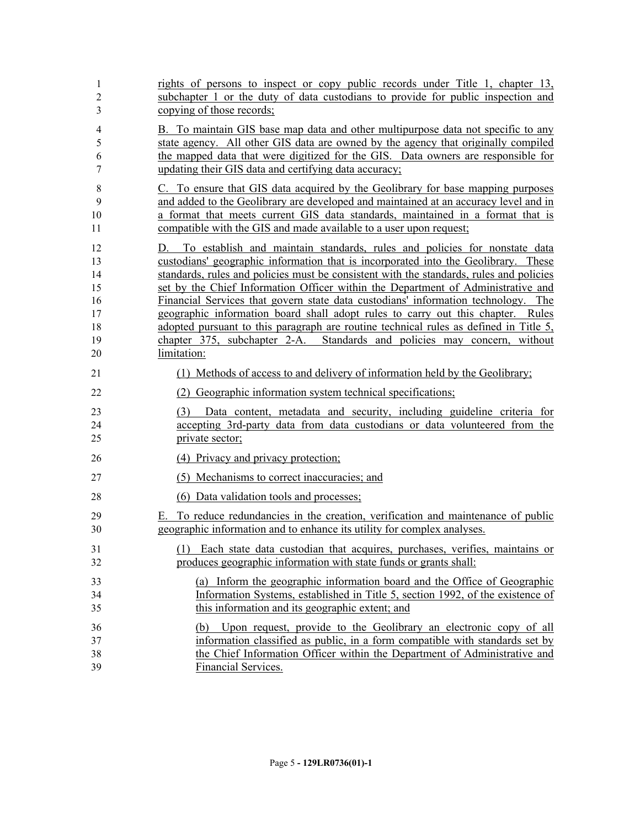| 1                                                  | rights of persons to inspect or copy public records under Title 1, chapter $13$ ,                                                                                                                                                                                                                                                                                                                                                                                                                                                                                                                                                                                                                                |
|----------------------------------------------------|------------------------------------------------------------------------------------------------------------------------------------------------------------------------------------------------------------------------------------------------------------------------------------------------------------------------------------------------------------------------------------------------------------------------------------------------------------------------------------------------------------------------------------------------------------------------------------------------------------------------------------------------------------------------------------------------------------------|
| $\overline{c}$                                     | subchapter 1 or the duty of data custodians to provide for public inspection and                                                                                                                                                                                                                                                                                                                                                                                                                                                                                                                                                                                                                                 |
| 3                                                  | copying of those records;                                                                                                                                                                                                                                                                                                                                                                                                                                                                                                                                                                                                                                                                                        |
| 4                                                  | B. To maintain GIS base map data and other multipurpose data not specific to any                                                                                                                                                                                                                                                                                                                                                                                                                                                                                                                                                                                                                                 |
| 5                                                  | state agency. All other GIS data are owned by the agency that originally compiled                                                                                                                                                                                                                                                                                                                                                                                                                                                                                                                                                                                                                                |
| 6                                                  | the mapped data that were digitized for the GIS. Data owners are responsible for                                                                                                                                                                                                                                                                                                                                                                                                                                                                                                                                                                                                                                 |
| 7                                                  | updating their GIS data and certifying data accuracy;                                                                                                                                                                                                                                                                                                                                                                                                                                                                                                                                                                                                                                                            |
| 8                                                  | C. To ensure that GIS data acquired by the Geolibrary for base mapping purposes                                                                                                                                                                                                                                                                                                                                                                                                                                                                                                                                                                                                                                  |
| 9                                                  | and added to the Geolibrary are developed and maintained at an accuracy level and in                                                                                                                                                                                                                                                                                                                                                                                                                                                                                                                                                                                                                             |
| 10                                                 | a format that meets current GIS data standards, maintained in a format that is                                                                                                                                                                                                                                                                                                                                                                                                                                                                                                                                                                                                                                   |
| 11                                                 | compatible with the GIS and made available to a user upon request;                                                                                                                                                                                                                                                                                                                                                                                                                                                                                                                                                                                                                                               |
| 12<br>13<br>14<br>15<br>16<br>17<br>18<br>19<br>20 | To establish and maintain standards, rules and policies for nonstate data<br>D.<br>custodians' geographic information that is incorporated into the Geolibrary. These<br>standards, rules and policies must be consistent with the standards, rules and policies<br>set by the Chief Information Officer within the Department of Administrative and<br>Financial Services that govern state data custodians' information technology. The<br>geographic information board shall adopt rules to carry out this chapter. Rules<br>adopted pursuant to this paragraph are routine technical rules as defined in Title 5,<br>chapter 375, subchapter 2-A. Standards and policies may concern, without<br>limitation: |
| 21                                                 | (1) Methods of access to and delivery of information held by the Geolibrary;                                                                                                                                                                                                                                                                                                                                                                                                                                                                                                                                                                                                                                     |
| 22                                                 | (2) Geographic information system technical specifications;                                                                                                                                                                                                                                                                                                                                                                                                                                                                                                                                                                                                                                                      |
| 23                                                 | (3) Data content, metadata and security, including guideline criteria for                                                                                                                                                                                                                                                                                                                                                                                                                                                                                                                                                                                                                                        |
| 24                                                 | accepting 3rd-party data from data custodians or data volunteered from the                                                                                                                                                                                                                                                                                                                                                                                                                                                                                                                                                                                                                                       |
| 25                                                 | private sector;                                                                                                                                                                                                                                                                                                                                                                                                                                                                                                                                                                                                                                                                                                  |
| 26                                                 | (4) Privacy and privacy protection;                                                                                                                                                                                                                                                                                                                                                                                                                                                                                                                                                                                                                                                                              |
| 27                                                 | (5) Mechanisms to correct inaccuracies; and                                                                                                                                                                                                                                                                                                                                                                                                                                                                                                                                                                                                                                                                      |
| 28                                                 | (6) Data validation tools and processes;                                                                                                                                                                                                                                                                                                                                                                                                                                                                                                                                                                                                                                                                         |
| 29<br>30                                           | To reduce redundancies in the creation, verification and maintenance of public<br>Е.<br>geographic information and to enhance its utility for complex analyses.                                                                                                                                                                                                                                                                                                                                                                                                                                                                                                                                                  |
| 31                                                 | (1) Each state data custodian that acquires, purchases, verifies, maintains or                                                                                                                                                                                                                                                                                                                                                                                                                                                                                                                                                                                                                                   |
| 32                                                 | produces geographic information with state funds or grants shall:                                                                                                                                                                                                                                                                                                                                                                                                                                                                                                                                                                                                                                                |
| 33                                                 | (a) Inform the geographic information board and the Office of Geographic                                                                                                                                                                                                                                                                                                                                                                                                                                                                                                                                                                                                                                         |
| 34                                                 | Information Systems, established in Title 5, section 1992, of the existence of                                                                                                                                                                                                                                                                                                                                                                                                                                                                                                                                                                                                                                   |
| 35                                                 | this information and its geographic extent; and                                                                                                                                                                                                                                                                                                                                                                                                                                                                                                                                                                                                                                                                  |
| 36                                                 | (b) Upon request, provide to the Geolibrary an electronic copy of all                                                                                                                                                                                                                                                                                                                                                                                                                                                                                                                                                                                                                                            |
| 37                                                 | information classified as public, in a form compatible with standards set by                                                                                                                                                                                                                                                                                                                                                                                                                                                                                                                                                                                                                                     |
| 38                                                 | the Chief Information Officer within the Department of Administrative and                                                                                                                                                                                                                                                                                                                                                                                                                                                                                                                                                                                                                                        |
| 39                                                 | Financial Services.                                                                                                                                                                                                                                                                                                                                                                                                                                                                                                                                                                                                                                                                                              |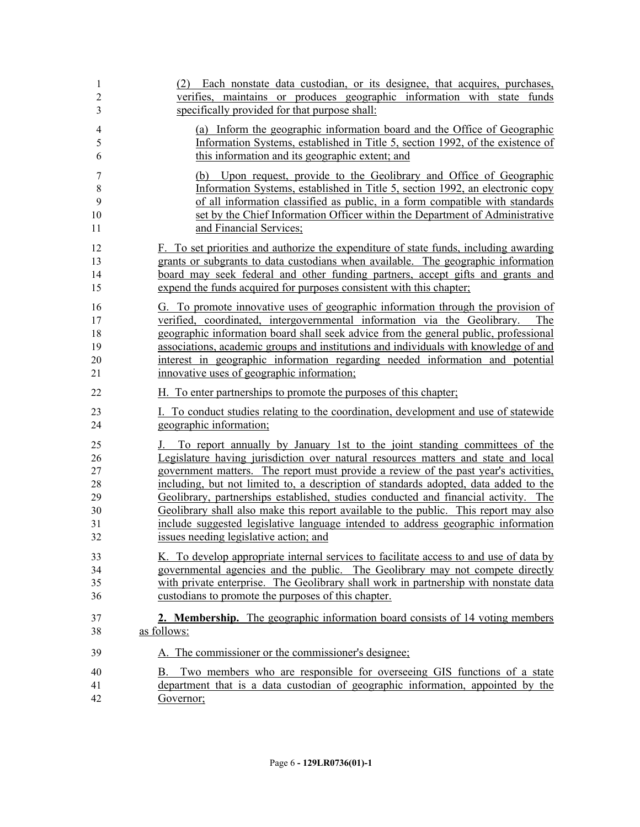| 1                                | (2) Each nonstate data custodian, or its designee, that acquires, purchases,                                                                                                                                                                                                                                                                                                                                                                                                       |
|----------------------------------|------------------------------------------------------------------------------------------------------------------------------------------------------------------------------------------------------------------------------------------------------------------------------------------------------------------------------------------------------------------------------------------------------------------------------------------------------------------------------------|
| $\overline{2}$                   | verifies, maintains or produces geographic information with state funds                                                                                                                                                                                                                                                                                                                                                                                                            |
| 3                                | specifically provided for that purpose shall:                                                                                                                                                                                                                                                                                                                                                                                                                                      |
| 4                                | (a) Inform the geographic information board and the Office of Geographic                                                                                                                                                                                                                                                                                                                                                                                                           |
| 5                                | Information Systems, established in Title 5, section 1992, of the existence of                                                                                                                                                                                                                                                                                                                                                                                                     |
| 6                                | this information and its geographic extent; and                                                                                                                                                                                                                                                                                                                                                                                                                                    |
| 7<br>$\,8\,$<br>9<br>10<br>11    | Upon request, provide to the Geolibrary and Office of Geographic<br>(b)<br>Information Systems, established in Title 5, section 1992, an electronic copy<br>of all information classified as public, in a form compatible with standards<br>set by the Chief Information Officer within the Department of Administrative<br>and Financial Services;                                                                                                                                |
| 12                               | F. To set priorities and authorize the expenditure of state funds, including awarding                                                                                                                                                                                                                                                                                                                                                                                              |
| 13                               | grants or subgrants to data custodians when available. The geographic information                                                                                                                                                                                                                                                                                                                                                                                                  |
| 14                               | board may seek federal and other funding partners, accept gifts and grants and                                                                                                                                                                                                                                                                                                                                                                                                     |
| 15                               | expend the funds acquired for purposes consistent with this chapter;                                                                                                                                                                                                                                                                                                                                                                                                               |
| 16<br>17<br>18<br>19<br>20<br>21 | G. To promote innovative uses of geographic information through the provision of<br>verified, coordinated, intergovernmental information via the Geolibrary.<br>The<br>geographic information board shall seek advice from the general public, professional<br>associations, academic groups and institutions and individuals with knowledge of and<br>interest in geographic information regarding needed information and potential<br>innovative uses of geographic information; |
| 22                               | H. To enter partnerships to promote the purposes of this chapter.                                                                                                                                                                                                                                                                                                                                                                                                                  |
| 23                               | I. To conduct studies relating to the coordination, development and use of statewide                                                                                                                                                                                                                                                                                                                                                                                               |
| 24                               | geographic information;                                                                                                                                                                                                                                                                                                                                                                                                                                                            |
| 25                               | J. To report annually by January 1st to the joint standing committees of the                                                                                                                                                                                                                                                                                                                                                                                                       |
| 26                               | Legislature having jurisdiction over natural resources matters and state and local                                                                                                                                                                                                                                                                                                                                                                                                 |
| 27                               | government matters. The report must provide a review of the past year's activities,                                                                                                                                                                                                                                                                                                                                                                                                |
| 28                               | including, but not limited to, a description of standards adopted, data added to the                                                                                                                                                                                                                                                                                                                                                                                               |
| 29                               | Geolibrary, partnerships established, studies conducted and financial activity. The                                                                                                                                                                                                                                                                                                                                                                                                |
| 30                               | Geolibrary shall also make this report available to the public. This report may also                                                                                                                                                                                                                                                                                                                                                                                               |
| 31                               | include suggested legislative language intended to address geographic information                                                                                                                                                                                                                                                                                                                                                                                                  |
| 32                               | issues needing legislative action; and                                                                                                                                                                                                                                                                                                                                                                                                                                             |
| 33                               | K. To develop appropriate internal services to facilitate access to and use of data by                                                                                                                                                                                                                                                                                                                                                                                             |
| 34                               | governmental agencies and the public. The Geolibrary may not compete directly                                                                                                                                                                                                                                                                                                                                                                                                      |
| 35                               | with private enterprise. The Geolibrary shall work in partnership with nonstate data                                                                                                                                                                                                                                                                                                                                                                                               |
| 36                               | custodians to promote the purposes of this chapter.                                                                                                                                                                                                                                                                                                                                                                                                                                |
| 37                               | <b>2. Membership.</b> The geographic information board consists of 14 voting members                                                                                                                                                                                                                                                                                                                                                                                               |
| 38                               | as follows:                                                                                                                                                                                                                                                                                                                                                                                                                                                                        |
| 39                               | A. The commissioner or the commissioner's designee;                                                                                                                                                                                                                                                                                                                                                                                                                                |
| 40<br>41<br>42                   | Two members who are responsible for overseeing GIS functions of a state<br>B.<br>department that is a data custodian of geographic information, appointed by the<br>Governor;                                                                                                                                                                                                                                                                                                      |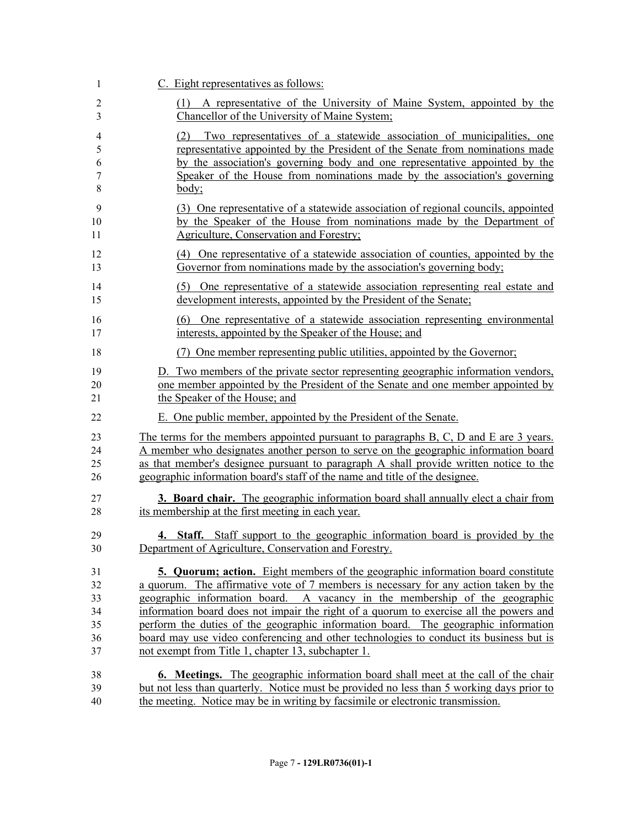| 1                     | C. Eight representatives as follows:                                                                                                                                                                                                                                                                                               |
|-----------------------|------------------------------------------------------------------------------------------------------------------------------------------------------------------------------------------------------------------------------------------------------------------------------------------------------------------------------------|
| 2<br>3                | A representative of the University of Maine System, appointed by the<br>(1)<br>Chancellor of the University of Maine System;                                                                                                                                                                                                       |
| 4<br>5<br>6<br>7<br>8 | Two representatives of a statewide association of municipalities, one<br>(2)<br>representative appointed by the President of the Senate from nominations made<br>by the association's governing body and one representative appointed by the<br>Speaker of the House from nominations made by the association's governing<br>body; |
| 9                     | (3) One representative of a statewide association of regional councils, appointed                                                                                                                                                                                                                                                  |
| 10                    | by the Speaker of the House from nominations made by the Department of                                                                                                                                                                                                                                                             |
| 11                    | Agriculture, Conservation and Forestry;                                                                                                                                                                                                                                                                                            |
| 12                    | (4) One representative of a statewide association of counties, appointed by the                                                                                                                                                                                                                                                    |
| 13                    | Governor from nominations made by the association's governing body;                                                                                                                                                                                                                                                                |
| 14                    | (5) One representative of a statewide association representing real estate and                                                                                                                                                                                                                                                     |
| 15                    | development interests, appointed by the President of the Senate;                                                                                                                                                                                                                                                                   |
| 16                    | (6) One representative of a statewide association representing environmental                                                                                                                                                                                                                                                       |
| 17                    | interests, appointed by the Speaker of the House; and                                                                                                                                                                                                                                                                              |
| 18                    | One member representing public utilities, appointed by the Governor;                                                                                                                                                                                                                                                               |
| 19                    | D. Two members of the private sector representing geographic information vendors,                                                                                                                                                                                                                                                  |
| 20                    | one member appointed by the President of the Senate and one member appointed by                                                                                                                                                                                                                                                    |
| 21                    | the Speaker of the House; and                                                                                                                                                                                                                                                                                                      |
| 22                    | E. One public member, appointed by the President of the Senate.                                                                                                                                                                                                                                                                    |
| 23                    | The terms for the members appointed pursuant to paragraphs $B, C, D$ and $E$ are 3 years.                                                                                                                                                                                                                                          |
| 24                    | A member who designates another person to serve on the geographic information board                                                                                                                                                                                                                                                |
| 25                    | as that member's designee pursuant to paragraph A shall provide written notice to the                                                                                                                                                                                                                                              |
| 26                    | geographic information board's staff of the name and title of the designee.                                                                                                                                                                                                                                                        |
| 27                    | <b>3. Board chair.</b> The geographic information board shall annually elect a chair from                                                                                                                                                                                                                                          |
| 28                    | its membership at the first meeting in each year.                                                                                                                                                                                                                                                                                  |
| 29                    | <b>4.</b> Staff. Staff support to the geographic information board is provided by the                                                                                                                                                                                                                                              |
| 30                    | Department of Agriculture, Conservation and Forestry.                                                                                                                                                                                                                                                                              |
| 31                    | 5. Quorum; action. Eight members of the geographic information board constitute                                                                                                                                                                                                                                                    |
| 32                    | a quorum. The affirmative vote of 7 members is necessary for any action taken by the                                                                                                                                                                                                                                               |
| 33                    | geographic information board. A vacancy in the membership of the geographic                                                                                                                                                                                                                                                        |
| 34                    | information board does not impair the right of a quorum to exercise all the powers and                                                                                                                                                                                                                                             |
| 35                    | perform the duties of the geographic information board. The geographic information                                                                                                                                                                                                                                                 |
| 36                    | board may use video conferencing and other technologies to conduct its business but is                                                                                                                                                                                                                                             |
| 37                    | not exempt from Title 1, chapter 13, subchapter 1.                                                                                                                                                                                                                                                                                 |
| 38                    | <b>6. Meetings.</b> The geographic information board shall meet at the call of the chair                                                                                                                                                                                                                                           |
| 39                    | but not less than quarterly. Notice must be provided no less than 5 working days prior to                                                                                                                                                                                                                                          |
| 40                    | the meeting. Notice may be in writing by facsimile or electronic transmission.                                                                                                                                                                                                                                                     |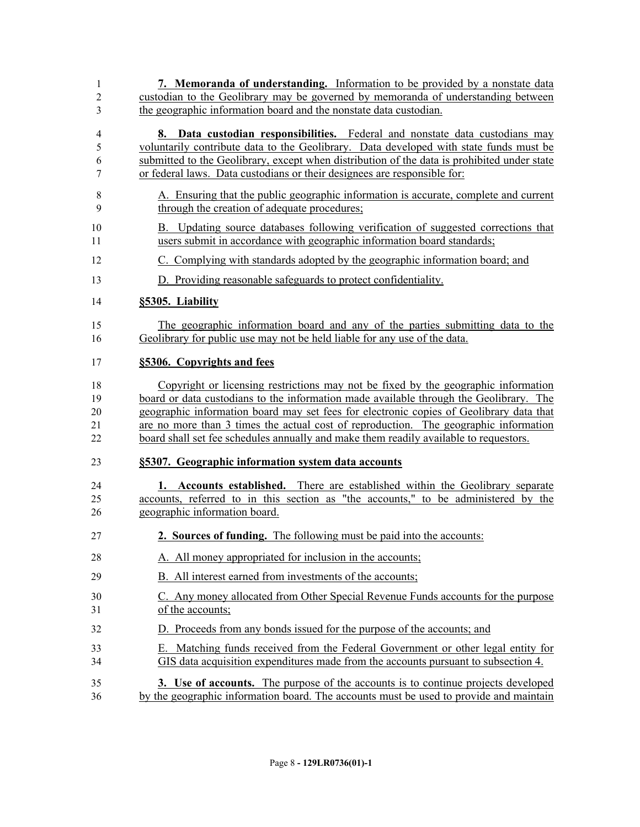**7. Memoranda of understanding.** Information to be provided by a nonstate data custodian to the Geolibrary may be governed by memoranda of understanding between the geographic information board and the nonstate data custodian. **8. Data custodian responsibilities.** Federal and nonstate data custodians may voluntarily contribute data to the Geolibrary. Data developed with state funds must be submitted to the Geolibrary, except when distribution of the data is prohibited under state or federal laws. Data custodians or their designees are responsible for: A. Ensuring that the public geographic information is accurate, complete and current through the creation of adequate procedures; B. Updating source databases following verification of suggested corrections that users submit in accordance with geographic information board standards; C. Complying with standards adopted by the geographic information board; and D. Providing reasonable safeguards to protect confidentiality. **§5305. Liability** The geographic information board and any of the parties submitting data to the Geolibrary for public use may not be held liable for any use of the data. **§5306. Copyrights and fees** Copyright or licensing restrictions may not be fixed by the geographic information board or data custodians to the information made available through the Geolibrary. The geographic information board may set fees for electronic copies of Geolibrary data that are no more than 3 times the actual cost of reproduction. The geographic information board shall set fee schedules annually and make them readily available to requestors. **§5307. Geographic information system data accounts 1. Accounts established.** There are established within the Geolibrary separate accounts, referred to in this section as "the accounts," to be administered by the geographic information board. **2. Sources of funding.** The following must be paid into the accounts: 28 A. All money appropriated for inclusion in the accounts; B. All interest earned from investments of the accounts; C. Any money allocated from Other Special Revenue Funds accounts for the purpose of the accounts; D. Proceeds from any bonds issued for the purpose of the accounts; and E. Matching funds received from the Federal Government or other legal entity for GIS data acquisition expenditures made from the accounts pursuant to subsection 4. **3. Use of accounts.** The purpose of the accounts is to continue projects developed by the geographic information board. The accounts must be used to provide and maintain